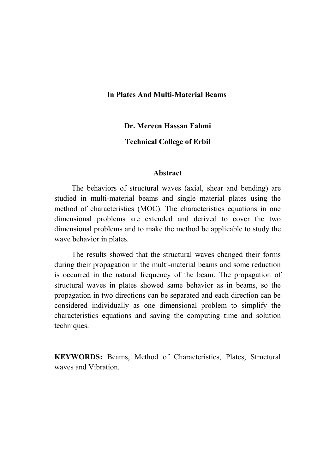## **In Plates And Multi-Material Beams**

### **Dr. Mereen Hassan Fahmi**

## **Technical College of Erbil**

#### **Abstract**

The behaviors of structural waves (axial, shear and bending) are studied in multi-material beams and single material plates using the method of characteristics (MOC). The characteristics equations in one dimensional problems are extended and derived to cover the two dimensional problems and to make the method be applicable to study the wave behavior in plates.

The results showed that the structural waves changed their forms during their propagation in the multi-material beams and some reduction is occurred in the natural frequency of the beam. The propagation of structural waves in plates showed same behavior as in beams, so the propagation in two directions can be separated and each direction can be considered individually as one dimensional problem to simplify the characteristics equations and saving the computing time and solution techniques.

**KEYWORDS:** Beams, Method of Characteristics, Plates, Structural waves and Vibration.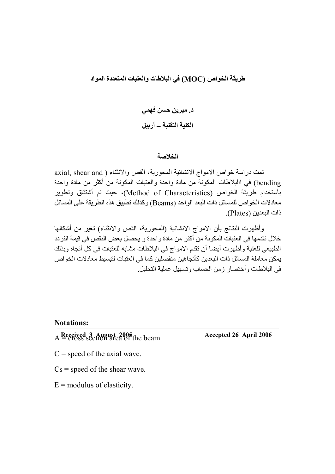# **طریقة الخواص (MOC (في البلاطات والعتبات المتعددة المواد**

**د. میرین حسن فھمي الكلیة التقنیة – أربیل**

#### **الخلاصة**

تمت دراسة خواص الامواج الانشائية المحورية، القص والانثناء ( axial, shear and bending (في االبلاطات المكونة من مادة واحدة والعتبات المكونة من أكثر من مادة واحدة بأستخدام طریقة الخواص (Characteristics of Method(، حیث تم أشتقاق وتطویر معادلات الخواص للمسائل ذات البعد الواحد (Beams (وكذلك تطبیق ھذه الطریقة على المسائل ذات البعدین (Plates(.

وأظھرت النتائج بأن الامواج الانشائیة (المحوریة، القص والانثناء) تغیر من أشكالھا خلال تقدمھا في العتبات المكونة من أكثر من مادة واحدة و یحصل بعض النقص في قیمة التردد الطبیعي للعتبة وأظھرت أیضا أن تقدم الامواج في البلاطات مشابھ للعتبات في كل أتجاه وبذلك یمكن معاملة المسائل ذات البعدین كأتجاھین منفصلین كما في العتبات لتبسیط معادلات الخواص في البلاطات وأختصار زمن الحساب وتسھیل عملیة التحلیل.

**Notations:**

A = cross section area of the beam. **Received 3 August 2005 Accepted 26 April 2006**

- $C$  = speed of the axial wave.
- $Cs$  = speed of the shear wave.
- $E =$  modulus of elasticity.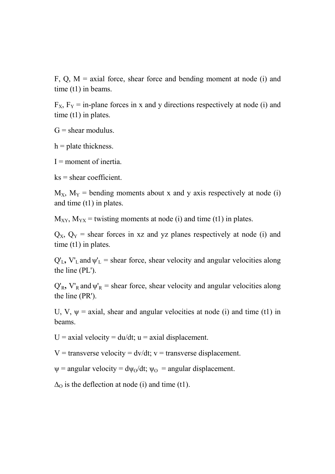F, Q,  $M =$  axial force, shear force and bending moment at node (i) and time (t1) in beams.

 $F_X$ ,  $F_Y$  = in-plane forces in x and y directions respectively at node (i) and time (t1) in plates.

 $G =$  shear modulus.

 $h =$  plate thickness.

 $I =$  moment of inertia.

 $ks = shear coefficient.$ 

 $M_X$ ,  $M_Y$  = bending moments about x and y axis respectively at node (i) and time (t1) in plates.

 $M_{XY}$ ,  $M_{YX}$  = twisting moments at node (i) and time (t1) in plates.

 $Q_X$ ,  $Q_Y$  = shear forces in xz and yz planes respectively at node (i) and time (t1) in plates.

 $Q'_L$ ,  $V'_L$  and  $\psi'_L$  = shear force, shear velocity and angular velocities along the line (PL').

 $Q'_R$ ,  $V'_R$  and  $\psi'_R$  = shear force, shear velocity and angular velocities along the line (PR').

U, V,  $\psi$  = axial, shear and angular velocities at node (i) and time (t1) in beams.

 $U = \alpha x$ ial velocity = du/dt; u = axial displacement.

 $V =$  transverse velocity = dv/dt;  $v =$  transverse displacement.

 $\psi$  = angular velocity =  $d\psi_0/dt$ ;  $\psi_0$  = angular displacement.

 $\Delta_{\Omega}$  is the deflection at node (i) and time (t1).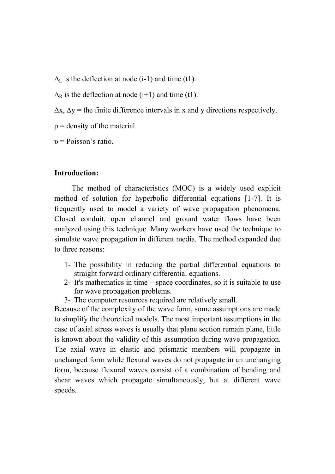$\Delta_{\rm L}$  is the deflection at node (i-1) and time (t1).

 $\Delta_R$  is the deflection at node (i+1) and time (t1).

 $\Delta x$ ,  $\Delta y$  = the finite difference intervals in x and y directions respectively.

 $\rho$  = density of the material.

 $v = Poisson's ratio$ .

## **Introduction:**

The method of characteristics (MOC) is a widely used explicit method of solution for hyperbolic differential equations [1-7]. It is frequently used to model a variety of wave propagation phenomena. Closed conduit, open channel and ground water flows have been analyzed using this technique. Many workers have used the technique to simulate wave propagation in different media. The method expanded due to three reasons:

- 1- The possibility in reducing the partial differential equations to straight forward ordinary differential equations.
- 2- It's mathematics in time space coordinates, so it is suitable to use for wave propagation problems.
- 3- The computer resources required are relatively small.

Because of the complexity of the wave form, some assumptions are made to simplify the theoretical models. The most important assumptions in the case of axial stress waves is usually that plane section remain plane, little is known about the validity of this assumption during wave propagation. The axial wave in elastic and prismatic members will propagate in unchanged form while flexural waves do not propagate in an unchanging form, because flexural waves consist of a combination of bending and shear waves which propagate simultaneously, but at different wave speeds.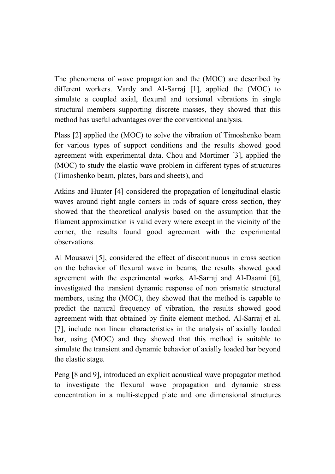The phenomena of wave propagation and the (MOC) are described by different workers. Vardy and Al-Sarraj [1], applied the (MOC) to simulate a coupled axial, flexural and torsional vibrations in single structural members supporting discrete masses, they showed that this method has useful advantages over the conventional analysis.

Plass [2] applied the (MOC) to solve the vibration of Timoshenko beam for various types of support conditions and the results showed good agreement with experimental data. Chou and Mortimer [3], applied the (MOC) to study the elastic wave problem in different types of structures (Timoshenko beam, plates, bars and sheets), and

Atkins and Hunter [4] considered the propagation of longitudinal elastic waves around right angle corners in rods of square cross section, they showed that the theoretical analysis based on the assumption that the filament approximation is valid every where except in the vicinity of the corner, the results found good agreement with the experimental observations.

Al Mousawi [5], considered the effect of discontinuous in cross section on the behavior of flexural wave in beams, the results showed good agreement with the experimental works. Al-Sarraj and Al-Daami [6], investigated the transient dynamic response of non prismatic structural members, using the (MOC), they showed that the method is capable to predict the natural frequency of vibration, the results showed good agreement with that obtained by finite element method. Al-Sarraj et al. [7], include non linear characteristics in the analysis of axially loaded bar, using (MOC) and they showed that this method is suitable to simulate the transient and dynamic behavior of axially loaded bar beyond the elastic stage.

Peng [8 and 9], introduced an explicit acoustical wave propagator method to investigate the flexural wave propagation and dynamic stress concentration in a multi-stepped plate and one dimensional structures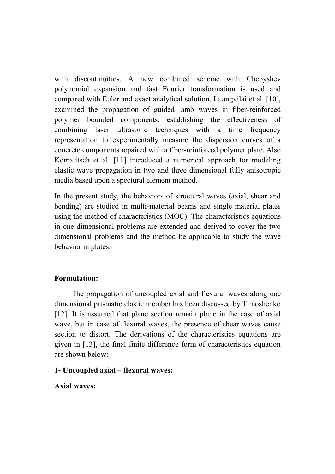with discontinuities. A new combined scheme with Chebyshev polynomial expansion and fast Fourier transformation is used and compared with Euler and exact analytical solution. Luangvilai et al. [10], examined the propagation of guided lamb waves in fiber-reinforced polymer bounded components, establishing the effectiveness of combining laser ultrasonic techniques with a time frequency representation to experimentally measure the dispersion curves of a concrete components repaired with a fiber-reinforced polymer plate. Also Komatitsch et al. [11] introduced a numerical approach for modeling elastic wave propagation in two and three dimensional fully anisotropic media based upon a spectural element method.

In the present study, the behaviors of structural waves (axial, shear and bending) are studied in multi-material beams and single material plates using the method of characteristics (MOC). The characteristics equations in one dimensional problems are extended and derived to cover the two dimensional problems and the method be applicable to study the wave behavior in plates.

## **Formulation:**

The propagation of uncoupled axial and flexural waves along one dimensional prismatic elastic member has been discussed by Timoshenko [12]. It is assumed that plane section remain plane in the case of axial wave, but in case of flexural waves, the presence of shear waves cause section to distort. The derivations of the characteristics equations are given in [13], the final finite difference form of characteristics equation are shown below:

## **1- Uncoupled axial – flexural waves:**

**Axial waves:**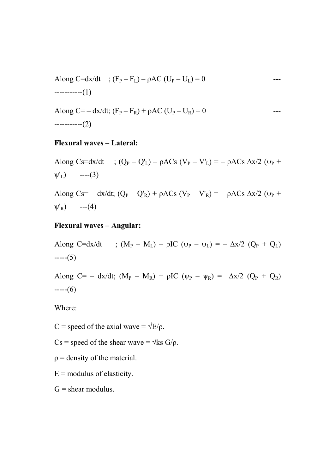Along C=dx/dt ; 
$$
(F_P - F_L) - \rho AC (U_P - U_L) = 0
$$
 ---  
-----(1)

Along C=-dx/dt; 
$$
(F_P - F_R) + \rho AC (U_P - U_R) = 0
$$
 ---  
-----(2)

#### **Flexural waves – Lateral:**

Along Cs=dx/dt ;  $(Q_P - Q'_L) - \rho ACs$   $(V_P - V'_L) = - \rho ACs$   $\Delta x/2$   $(\psi_P +$  $\Psi'_{L}$ ) ----(3)

Along Cs= – dx/dt;  $(Q_P - Q_R') + \rho A C s$  (V<sub>P</sub> – V'<sub>R</sub>) = –  $\rho A C s \Delta x/2$  ( $\psi_P$  +  $\Psi'_{R}$ ) ---(4)

# **Flexural waves – Angular:**

Along C=dx/dt ;  $(M_P - M_I) - \rho IC$  ( $\psi_P - \psi_I$ ) = –  $\Delta x/2$  ( $O_P + O_I$ )  $---(5)$ 

Along C= – dx/dt;  $(M_P - M_R) + \rho IC$  ( $\psi_P - \psi_R$ ) =  $\Delta x/2$  ( $Q_P + Q_R$ )  $---(6)$ 

Where:

C = speed of the axial wave =  $\sqrt{E/\rho}$ .

- Cs = speed of the shear wave =  $\sqrt{\text{ks } G/\text{p}}$ .
- $\rho$  = density of the material.
- $E$  = modulus of elasticity.
- $G =$  shear modulus.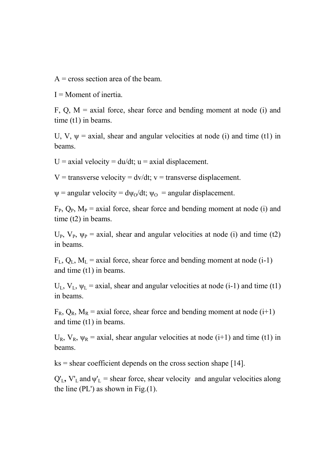$A = \text{cross section area of the beam.}$ 

 $I =$ Moment of inertia.

F, Q,  $M =$  axial force, shear force and bending moment at node (i) and time (t1) in beams.

U, V,  $\psi$  = axial, shear and angular velocities at node (i) and time (t1) in beams.

 $U = \alpha x$ ial velocity = du/dt; u = axial displacement.

 $V =$  transverse velocity = dv/dt;  $v =$  transverse displacement.

 $\psi$  = angular velocity =  $d\psi_0/dt$ ;  $\psi_0$  = angular displacement.

 $F_{P}$ ,  $Q_{P}$ ,  $M_{P}$  = axial force, shear force and bending moment at node (i) and time (t2) in beams.

 $U_P$ ,  $V_P$ ,  $\psi_P$  = axial, shear and angular velocities at node (i) and time (t2) in beams.

 $F<sub>L</sub>, Q<sub>L</sub>, M<sub>L</sub> =$  axial force, shear force and bending moment at node (i-1) and time (t1) in beams.

 $U_L$ ,  $V_L$ ,  $\Psi_L$  = axial, shear and angular velocities at node (i-1) and time (t1) in beams.

 $F_R$ ,  $Q_R$ ,  $M_R$  = axial force, shear force and bending moment at node (i+1) and time (t1) in beams.

 $U_R$ ,  $V_R$ ,  $\psi_R$  = axial, shear angular velocities at node (i+1) and time (t1) in beams.

 $ks = shear coefficient depends on the cross section shape [14].$ 

 $Q'_L$ ,  $V'_L$  and  $\Psi'_L$  = shear force, shear velocity and angular velocities along the line (PL') as shown in Fig. $(1)$ .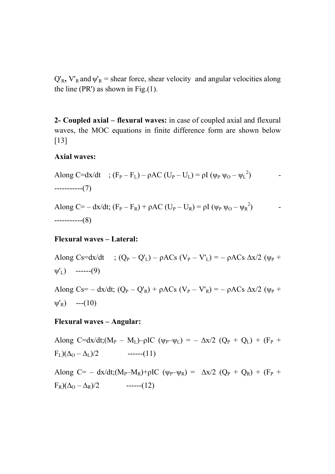$Q'_R$ ,  $V'_R$  and  $\psi'_R$  = shear force, shear velocity and angular velocities along the line (PR') as shown in Fig. $(1)$ .

**2- Coupled axial – flexural waves:** in case of coupled axial and flexural waves, the MOC equations in finite difference form are shown below [13]

### **Axial waves:**

Along C=dx/dt ;  $(F_P - F_L) - \rho AC (U_P - U_L) = \rho I (\psi_P \psi_O - \psi_L^2)$  $\left( \begin{array}{ccc} \cdot & \cdot & \cdot \\ \cdot & \cdot & \cdot \\ \cdot & \cdot & \cdot \end{array} \right)$ -----------(7)

Along  $C = -dx/dt$ ;  $(F_P - F_R) + \rho AC (U_P - U_R) = \rho I (\psi_P \psi_O - \psi_R^2)$ -----------(8)

#### **Flexural waves – Lateral:**

Along Cs=dx/dt ;  $(Q_P - Q'_L) - \rho A C_S (V_P - V'_L) = - \rho A C_S \Delta x / 2 (\psi_P +$  $\psi'_L$ ) ------(9)

Along Cs= – dx/dt;  $(Q_P - Q'_R) + \rho A C_S (V_P - V'_R) = - \rho A C_S \Delta x / 2 (\psi_P +$  $\psi'_R$ ) ---(10)

#### **Flexural waves – Angular:**

Along C=dx/dt;(M<sub>P</sub> – M<sub>L</sub>)– $\rho$ IC ( $\psi_P - \psi_L$ ) = –  $\Delta x/2$  ( $Q_P + Q_L$ ) + (F<sub>P</sub> +  $F_L)(\Delta_0 - \Delta_L)/2$  ------(11) Along C= – dx/dt;(M<sub>P</sub>–M<sub>R</sub>)+ρIC ( $\psi$ <sub>P</sub>– $\psi$ <sub>R</sub>) =  $\Delta x/2$  ( $Q_P + Q_R$ ) + (F<sub>P</sub> +  $F_R)(\Delta_Q - \Delta_R)/2$  ------(12)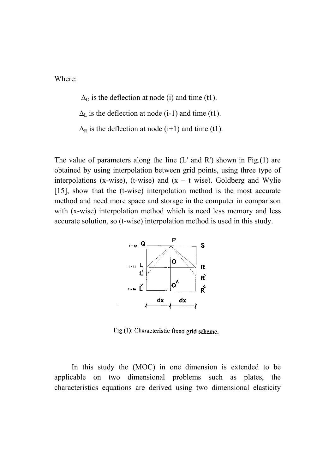Where:

 $\Delta_{\Omega}$  is the deflection at node (i) and time (t1).

 $\Delta_L$  is the deflection at node (i-1) and time (t1).

 $\Delta_R$  is the deflection at node (i+1) and time (t1).

The value of parameters along the line  $(L'$  and  $R')$  shown in Fig.(1) are obtained by using interpolation between grid points, using three type of interpolations (x-wise), (t-wise) and  $(x - t$  wise). Goldberg and Wylie [15], show that the (t-wise) interpolation method is the most accurate method and need more space and storage in the computer in comparison with (x-wise) interpolation method which is need less memory and less accurate solution, so (t-wise) interpolation method is used in this study.



Fig.(1): Characteristic fixed grid scheme.

In this study the (MOC) in one dimension is extended to be applicable on two dimensional problems such as plates, the characteristics equations are derived using two dimensional elasticity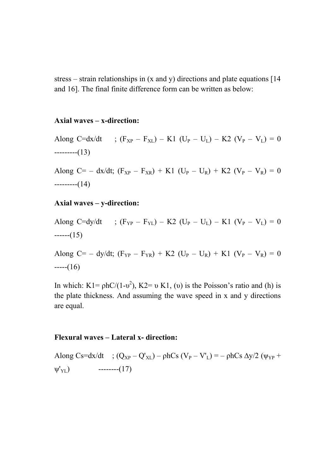stress – strain relationships in (x and y) directions and plate equations [14 and 16]. The final finite difference form can be written as below:

### **Axial waves – x-direction:**

Along C=dx/dt ;  $(F_{XP} - F_{XL}) - K1$  (U<sub>P</sub> – U<sub>L</sub>) – K2 (V<sub>P</sub> – V<sub>L</sub>) = 0 ---------(13)

Along C= – dx/dt;  $(F_{XP} - F_{XR}) + K1$  (U<sub>P</sub> – U<sub>R</sub>) + K2 (V<sub>P</sub> – V<sub>R</sub>) = 0 ---------(14)

#### **Axial waves – y-direction:**

Along C=dy/dt ;  $(F_{YP} - F_{YL}) - K2$  (U<sub>P</sub> – U<sub>L</sub>) – K1 (V<sub>P</sub> – V<sub>L</sub>) = 0  $---(15)$ 

Along C= – dy/dt;  $(F_{YP} - F_{YR}) + K2$  (U<sub>P</sub> – U<sub>R</sub>) + K1 (V<sub>P</sub> – V<sub>R</sub>) = 0  $---(16)$ 

In which: K1=  $phC/(1-v^2)$ , K2= v K1, (v) is the Poisson's ratio and (h) is the plate thickness. And assuming the wave speed in x and y directions are equal.

#### **Flexural waves – Lateral x- direction:**

Along Cs=dx/dt ;  $(Q_{XP} - Q'_{XL}) - \rho hCs$   $(V_P - V_L) = -\rho hCs \Delta y/2$   $(\psi_{YP} +$  $\Psi'_{\text{YL}}$ ) --------(17)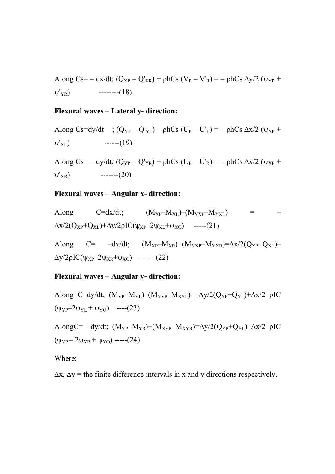Along Cs= – dx/dt;  $(Q_{XP} - Q'_{XR}) + \rho hCs$   $(V_P - V'_R) = -\rho hCs \Delta y/2$   $(\psi_{YP} +$  $W'_{YR}$ ) --------(18)

## **Flexural waves – Lateral y- direction:**

Along Cs=dy/dt ;  $(Q_{YP} - Q'_{YL}) - \rho hCs (U_P - U'_L) = - \rho hCs \Delta x/2 (\psi_{XP} +$  $\Psi'_{\rm XL}$ ) ------(19)

Along Cs= – dy/dt;  $(Q_{YP} - Q'_{YR}) + \rho hCs$  (U<sub>P</sub> – U'<sub>R</sub>) = –  $\rho hCs \Delta x/2$  ( $\psi_{XP}$  +  $\Psi'_{XR}$  -------(20)

#### **Flexural waves – Angular x- direction:**

Along C=dx/dt; 
$$
(M_{XP}-M_{XL})-(M_{YXP}-M_{YXL})
$$
 =  $-\Delta x/2(Q_{XP}+Q_{XL})+\Delta y/2\rho IC(\psi_{XP}-2\psi_{XL}+\psi_{X0})$  ----(21)  

Along  $C=-dx/dt$ ;  $(M_{XP}-M_{XR})+(M_{YXP}-M_{YXR})=\Delta x/2(Q_{XP}+Q_{XL}) \Delta y/2\rho$ IC(ψ<sub>XP</sub>–2ψ<sub>XR</sub>+ψ<sub>XO</sub>) -------(22)

## **Flexural waves – Angular y- direction:**

Along C=dy/dt;  $(M_{YP}-M_{YL})-(M_{XYP}-M_{XYL})=-\Delta V/2(O_{YP}+O_{YL})+\Delta X/2$  ρIC  $(\psi_{YP} - 2\psi_{YL} + \psi_{YO})$  ----(23)

AlongC= 
$$
-dy/dt
$$
; (M<sub>YP</sub>-M<sub>YR</sub>)+(M<sub>XYP</sub>-M<sub>XYR</sub>)=Δy/2(Q<sub>YP</sub>+Q<sub>YL</sub>)-Δx/2 ρIC  
(ψ<sub>YP</sub>- 2ψ<sub>YR</sub> + ψ<sub>YO</sub>) ----(24)

Where:

 $\Delta x$ ,  $\Delta y$  = the finite difference intervals in x and y directions respectively.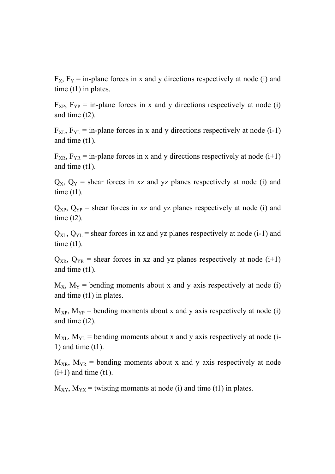$F_X$ ,  $F_Y$  = in-plane forces in x and y directions respectively at node (i) and time (t1) in plates.

 $F_{XP}$ ,  $F_{YP}$  = in-plane forces in x and y directions respectively at node (i) and time (t2).

 $F_{XL}$ ,  $F_{YL}$  = in-plane forces in x and y directions respectively at node (i-1) and time (t1).

 $F_{XR}$ ,  $F_{YR}$  = in-plane forces in x and y directions respectively at node (i+1) and time (t1).

 $Q_X$ ,  $Q_Y$  = shear forces in xz and yz planes respectively at node (i) and time  $(t1)$ .

 $Q_{XP}$ ,  $Q_{YP}$  = shear forces in xz and yz planes respectively at node (i) and time  $(t2)$ .

 $Q_{\text{XL}}$ ,  $Q_{\text{YL}}$  = shear forces in xz and yz planes respectively at node (i-1) and time  $(t1)$ .

 $Q_{XR}$ ,  $Q_{YR}$  = shear forces in xz and yz planes respectively at node (i+1) and time (t1).

 $M_X$ ,  $M_Y$  = bending moments about x and y axis respectively at node (i) and time (t1) in plates.

 $M_{XP}$ ,  $M_{YP}$  = bending moments about x and y axis respectively at node (i) and time (t2).

 $M_{\text{NL}}$ ,  $M_{\text{YL}}$  = bending moments about x and y axis respectively at node (i-1) and time (t1).

 $M_{XR}$ ,  $M_{YR}$  = bending moments about x and y axis respectively at node  $(i+1)$  and time  $(t1)$ .

 $M_{XY}$ ,  $M_{YX}$  = twisting moments at node (i) and time (t1) in plates.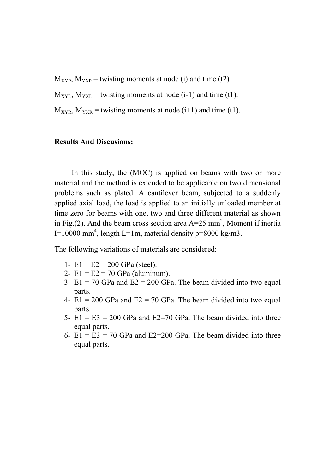$M_{XYP}$ ,  $M_{YXP}$  = twisting moments at node (i) and time (t2).

 $M_{\text{XYL}}$ ,  $M_{\text{YXL}}$  = twisting moments at node (i-1) and time (t1).

 $M_{XYR}$ ,  $M_{YXR}$  = twisting moments at node (i+1) and time (t1).

## **Results And Discusions:**

In this study, the (MOC) is applied on beams with two or more material and the method is extended to be applicable on two dimensional problems such as plated. A cantilever beam, subjected to a suddenly applied axial load, the load is applied to an initially unloaded member at time zero for beams with one, two and three different material as shown in Fig.(2). And the beam cross section area  $A=25$  mm<sup>2</sup>, Moment if inertia I=10000 mm<sup>4</sup>, length L=1m, material density  $p=8000 \text{ kg/m3}$ .

The following variations of materials are considered:

- 1-  $E1 = E2 = 200$  GPa (steel).
- 2-  $E1 = E2 = 70$  GPa (aluminum).
- 3-  $E1 = 70$  GPa and  $E2 = 200$  GPa. The beam divided into two equal parts.
- 4-  $E1 = 200$  GPa and  $E2 = 70$  GPa. The beam divided into two equal parts.
- 5-  $E1 = E3 = 200$  GPa and  $E2 = 70$  GPa. The beam divided into three equal parts.
- 6-  $E1 = E3 = 70$  GPa and  $E2 = 200$  GPa. The beam divided into three equal parts.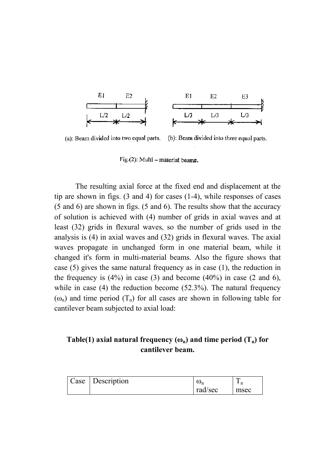

(a): Beam divided into two equal parts. (b): Beam divided into three equal parts.

Fig.(2): Multi – material beams.

The resulting axial force at the fixed end and displacement at the tip are shown in figs. (3 and 4) for cases (1-4), while responses of cases (5 and 6) are shown in figs. (5 and 6). The results show that the accuracy of solution is achieved with (4) number of grids in axial waves and at least (32) grids in flexural waves, so the number of grids used in the analysis is (4) in axial waves and (32) grids in flexural waves. The axial waves propagate in unchanged form in one material beam, while it changed it's form in multi-material beams. Also the figure shows that case (5) gives the same natural frequency as in case (1), the reduction in the frequency is  $(4\%)$  in case  $(3)$  and become  $(40\%)$  in case  $(2 \text{ and } 6)$ , while in case (4) the reduction become (52.3%). The natural frequency  $(\omega_n)$  and time period  $(T_n)$  for all cases are shown in following table for cantilever beam subjected to axial load:

# **Table(1) axial natural frequency**  $(\omega_n)$  **and time period**  $(T_n)$  **for cantilever beam.**

| Case | Description | $\omega_{n}$ | ᠆<br>n<br>- |
|------|-------------|--------------|-------------|
|      |             | rad/sec      | msec        |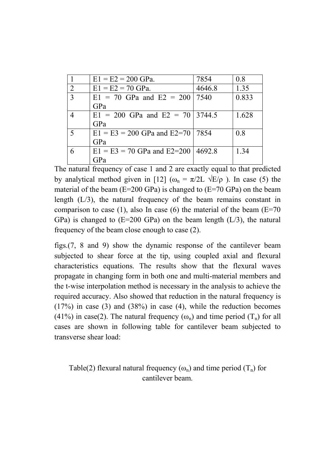|                | $E1 = E2 = 200$ GPa.                       | 7854   | 0.8   |
|----------------|--------------------------------------------|--------|-------|
| $\overline{2}$ | $E1 = E2 = 70$ GPa.                        | 4646.8 | 1.35  |
| 3              | $E1 = 70$ GPa and $E2 = 200$               | 7540   | 0.833 |
|                | GPa                                        |        |       |
| 4              | $E1 = 200$ GPa and $E2 = 70$ 3744.5        |        | 1.628 |
|                | GPa                                        |        |       |
| 5              | $E1 = E3 = 200$ GPa and $E2 = 70$   7854   |        | 0.8   |
|                | GPa                                        |        |       |
| 6              | $E1 = E3 = 70$ GPa and $E2 = 200$   4692.8 |        | 1.34  |
|                | $P_a$                                      |        |       |

The natural frequency of case 1 and 2 are exactly equal to that predicted by analytical method given in [12] ( $\omega_n = \pi/2L \sqrt{E/\rho}$ ). In case (5) the material of the beam (E=200 GPa) is changed to (E=70 GPa) on the beam length (L/3), the natural frequency of the beam remains constant in comparison to case (1), also In case (6) the material of the beam  $(E=70)$ GPa) is changed to  $(E=200 \text{ GPa})$  on the beam length  $(L/3)$ , the natural frequency of the beam close enough to case (2).

figs.(7, 8 and 9) show the dynamic response of the cantilever beam subjected to shear force at the tip, using coupled axial and flexural characteristics equations. The results show that the flexural waves propagate in changing form in both one and multi-material members and the t-wise interpolation method is necessary in the analysis to achieve the required accuracy. Also showed that reduction in the natural frequency is  $(17%)$  in case  $(3)$  and  $(38%)$  in case  $(4)$ , while the reduction becomes (41%) in case(2). The natural frequency  $(\omega_n)$  and time period  $(T_n)$  for all cases are shown in following table for cantilever beam subjected to transverse shear load:

Table(2) flexural natural frequency  $(\omega_n)$  and time period  $(T_n)$  for cantilever beam.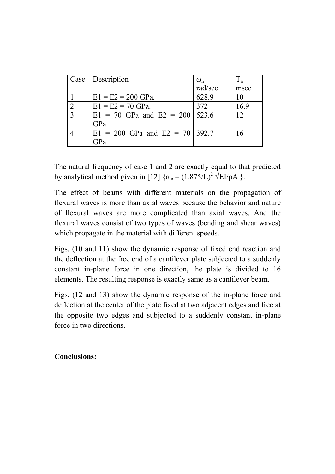| Case                        | Description                          | $\omega_{\rm n}$ | $T_{n}$ |
|-----------------------------|--------------------------------------|------------------|---------|
|                             |                                      | rad/sec          | msec    |
|                             | $E1 = E2 = 200$ GPa.                 | 628.9            | 10      |
| $\mathcal{D}_{\mathcal{L}}$ | $E1 = E2 = 70$ GPa.                  | 372              | 16.9    |
| 3                           | $E1 = 70$ GPa and $E2 = 200$   523.6 |                  | 12      |
|                             | GPa                                  |                  |         |
|                             | $E1 = 200$ GPa and $E2 = 70$ 392.7   |                  | 16      |
|                             | $\cdot$ <sub>i</sub> P <sub>a</sub>  |                  |         |

The natural frequency of case 1 and 2 are exactly equal to that predicted by analytical method given in [12]  $\{\omega_n = (1.875/L)^2 \sqrt{EI/\rho A}\}$ .

The effect of beams with different materials on the propagation of flexural waves is more than axial waves because the behavior and nature of flexural waves are more complicated than axial waves. And the flexural waves consist of two types of waves (bending and shear waves) which propagate in the material with different speeds.

Figs. (10 and 11) show the dynamic response of fixed end reaction and the deflection at the free end of a cantilever plate subjected to a suddenly constant in-plane force in one direction, the plate is divided to 16 elements. The resulting response is exactly same as a cantilever beam.

Figs. (12 and 13) show the dynamic response of the in-plane force and deflection at the center of the plate fixed at two adjacent edges and free at the opposite two edges and subjected to a suddenly constant in-plane force in two directions.

# **Conclusions:**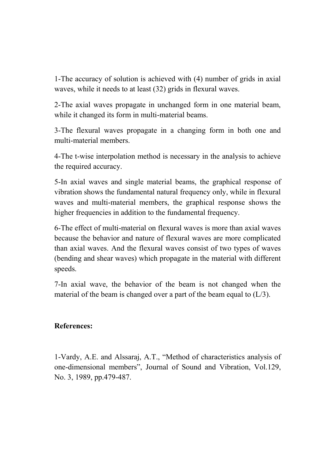1-The accuracy of solution is achieved with (4) number of grids in axial waves, while it needs to at least (32) grids in flexural waves.

2-The axial waves propagate in unchanged form in one material beam, while it changed its form in multi-material beams.

3-The flexural waves propagate in a changing form in both one and multi-material members.

4-The t-wise interpolation method is necessary in the analysis to achieve the required accuracy.

5-In axial waves and single material beams, the graphical response of vibration shows the fundamental natural frequency only, while in flexural waves and multi-material members, the graphical response shows the higher frequencies in addition to the fundamental frequency.

6-The effect of multi-material on flexural waves is more than axial waves because the behavior and nature of flexural waves are more complicated than axial waves. And the flexural waves consist of two types of waves (bending and shear waves) which propagate in the material with different speeds.

7-In axial wave, the behavior of the beam is not changed when the material of the beam is changed over a part of the beam equal to  $(L/3)$ .

# **References:**

1-Vardy, A.E. and Alssaraj, A.T., "Method of characteristics analysis of one-dimensional members", Journal of Sound and Vibration, Vol.129, No. 3, 1989, pp.479-487.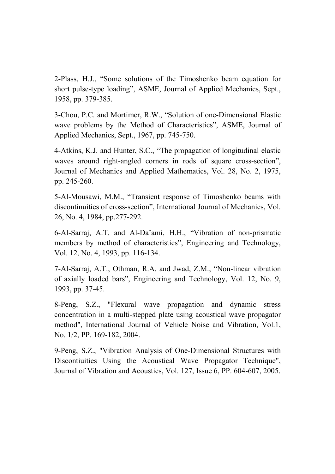2-Plass, H.J., "Some solutions of the Timoshenko beam equation for short pulse-type loading", ASME, Journal of Applied Mechanics, Sept., 1958, pp. 379-385.

3-Chou, P.C. and Mortimer, R.W., "Solution of one-Dimensional Elastic wave problems by the Method of Characteristics", ASME, Journal of Applied Mechanics, Sept., 1967, pp. 745-750.

4-Atkins, K.J. and Hunter, S.C., "The propagation of longitudinal elastic waves around right-angled corners in rods of square cross-section", Journal of Mechanics and Applied Mathematics, Vol. 28, No. 2, 1975, pp. 245-260.

5-Al-Mousawi, M.M., "Transient response of Timoshenko beams with discontinuities of cross-section", International Journal of Mechanics, Vol. 26, No. 4, 1984, pp.277-292.

6-Al-Sarraj, A.T. and Al-Da'ami, H.H., "Vibration of non-prismatic members by method of characteristics", Engineering and Technology, Vol. 12, No. 4, 1993, pp. 116-134.

7-Al-Sarraj, A.T., Othman, R.A. and Jwad, Z.M., "Non-linear vibration of axially loaded bars", Engineering and Technology, Vol. 12, No. 9, 1993, pp. 37-45.

8-Peng, S.Z., "Flexural wave propagation and dynamic stress concentration in a multi-stepped plate using acoustical wave propagator method", International Journal of Vehicle Noise and Vibration, Vol.1, No. 1/2, PP. 169-182, 2004.

9-Peng, S.Z., "Vibration Analysis of One-Dimensional Structures with Discontiuities Using the Acoustical Wave Propagator Technique", Journal of Vibration and Acoustics, Vol. 127, Issue 6, PP. 604-607, 2005.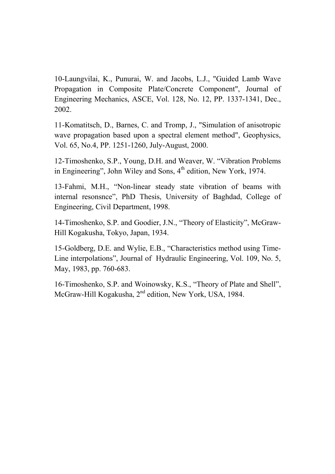10-Laungvilai, K., Punurai, W. and Jacobs, L.J., "Guided Lamb Wave Propagation in Composite Plate/Concrete Component", Journal of Engineering Mechanics, ASCE, Vol. 128, No. 12, PP. 1337-1341, Dec., 2002.

11-Komatitsch, D., Barnes, C. and Tromp, J., "Simulation of anisotropic wave propagation based upon a spectral element method", Geophysics, Vol. 65, No.4, PP. 1251-1260, July-August, 2000.

12-Timoshenko, S.P., Young, D.H. and Weaver, W. "Vibration Problems in Engineering", John Wiley and Sons,  $4<sup>th</sup>$  edition, New York, 1974.

13-Fahmi, M.H., "Non-linear steady state vibration of beams with internal resonsnce", PhD Thesis, University of Baghdad, College of Engineering, Civil Department, 1998.

14-Timoshenko, S.P. and Goodier, J.N., "Theory of Elasticity", McGraw-Hill Kogakusha, Tokyo, Japan, 1934.

15-Goldberg, D.E. and Wylie, E.B., "Characteristics method using Time-Line interpolations", Journal of Hydraulic Engineering, Vol. 109, No. 5, May, 1983, pp. 760-683.

16-Timoshenko, S.P. and Woinowsky, K.S., "Theory of Plate and Shell", McGraw-Hill Kogakusha, 2<sup>nd</sup> edition, New York, USA, 1984.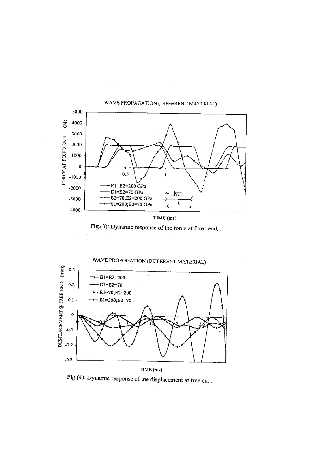

i.  $\bar{\nu}$ 

Fig.(3): Dynamic response of the force at fixed end.



Fig.(4): Dynamic response of the displacement at free end.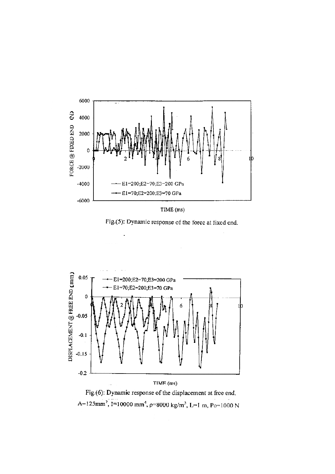

TIME (ms)

Fig.(5): Dynamic response of the force at fixed end.





 $\bar{\beta}$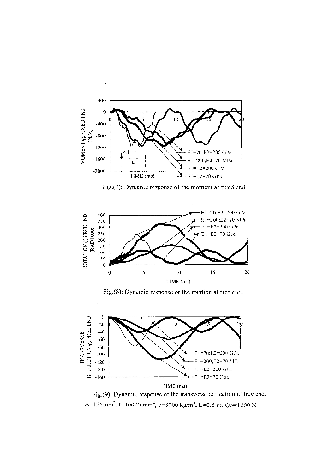

Fig.(7): Dynamic response of the moment at fixed end.



Fig.(8): Dynamic response of the rotation at free end.



Fig.(9): Dynamic response of the transverse deflection at free end.  $\Lambda$ =125mm<sup>2</sup>, I=10000 mm<sup>4</sup>, p=8000 kg/m<sup>3</sup>, L=0.5 m, Qo=1000 N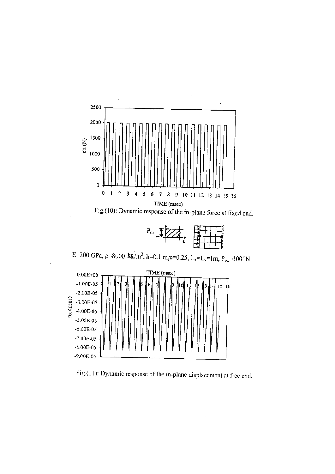

Fig.(11): Dynamic response of the in-plane displacement at free end.